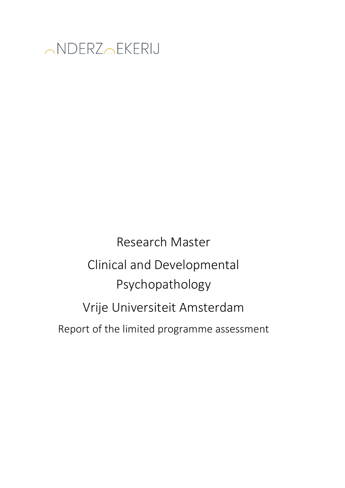

Research Master Clinical and Developmental Psychopathology Vrije Universiteit Amsterdam Report of the limited programme assessment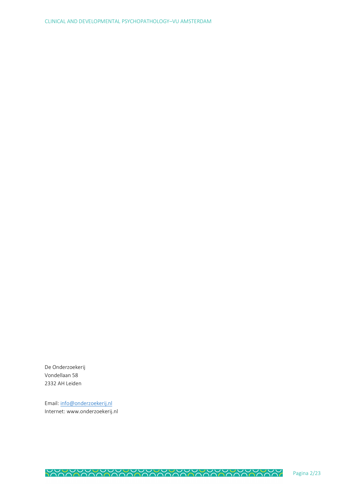De Onderzoekerij Vondellaan 58 2332 AH Leiden

Email: info@onderzoekerij.nl Internet: www.onderzoekerij.nl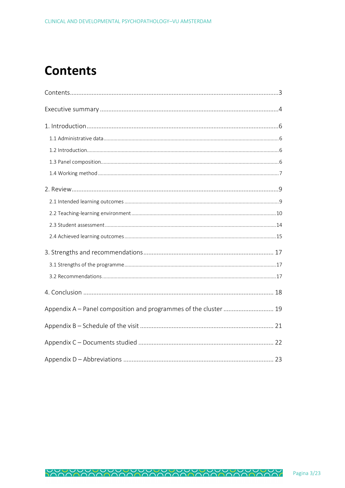## **Contents**

| Appendix A - Panel composition and programmes of the cluster  19 |  |
|------------------------------------------------------------------|--|
|                                                                  |  |
|                                                                  |  |
|                                                                  |  |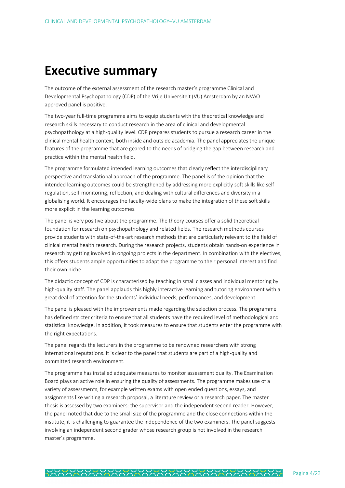### **Executive summary**

The outcome of the external assessment of the research master's programme Clinical and Developmental Psychopathology (CDP) of the Vrije Universiteit (VU) Amsterdam by an NVAO approved panel is positive.

The two-year full-time programme aims to equip students with the theoretical knowledge and research skills necessary to conduct research in the area of clinical and developmental psychopathology at a high-quality level. CDP prepares students to pursue a research career in the clinical mental health context, both inside and outside academia. The panel appreciates the unique features of the programme that are geared to the needs of bridging the gap between research and practice within the mental health field.

The programme formulated intended learning outcomes that clearly reflect the interdisciplinary perspective and translational approach of the programme. The panel is of the opinion that the intended learning outcomes could be strengthened by addressing more explicitly soft skills like selfregulation, self-monitoring, reflection, and dealing with cultural differences and diversity in a globalising world. It encourages the faculty-wide plans to make the integration of these soft skills more explicit in the learning outcomes.

The panel is very positive about the programme. The theory courses offer a solid theoretical foundation for research on psychopathology and related fields. The research methods courses provide students with state-of-the-art research methods that are particularly relevant to the field of clinical mental health research. During the research projects, students obtain hands-on experience in research by getting involved in ongoing projects in the department. In combination with the electives, this offers students ample opportunities to adapt the programme to their personal interest and find their own niche.

The didactic concept of CDP is characterised by teaching in small classes and individual mentoring by high-quality staff. The panel applauds this highly interactive learning and tutoring environment with a great deal of attention for the students' individual needs, performances, and development.

The panel is pleased with the improvements made regarding the selection process. The programme has defined stricter criteria to ensure that all students have the required level of methodological and statistical knowledge. In addition, it took measures to ensure that students enter the programme with the right expectations.

The panel regards the lecturers in the programme to be renowned researchers with strong international reputations. It is clear to the panel that students are part of a high-quality and committed research environment.

The programme has installed adequate measures to monitor assessment quality. The Examination Board plays an active role in ensuring the quality of assessments. The programme makes use of a variety of assessments, for example written exams with open ended questions, essays, and assignments like writing a research proposal, a literature review or a research paper. The master thesis is assessed by two examiners: the supervisor and the independent second reader. However, the panel noted that due to the small size of the programme and the close connections within the institute, it is challenging to guarantee the independence of the two examiners. The panel suggests involving an independent second grader whose research group is not involved in the research master's programme.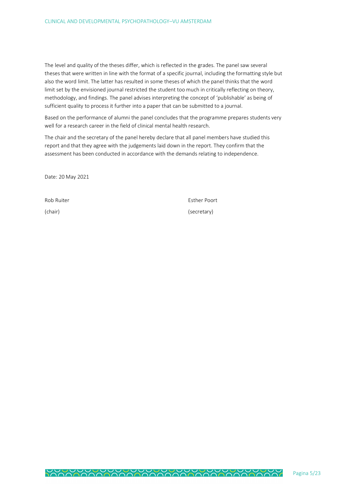The level and quality of the theses differ, which is reflected in the grades. The panel saw several theses that were written in line with the format of a specific journal, including the formatting style but also the word limit. The latter has resulted in some theses of which the panel thinks that the word limit set by the envisioned journal restricted the student too much in critically reflecting on theory, methodology, and findings. The panel advises interpreting the concept of 'publishable' as being of sufficient quality to process it further into a paper that can be submitted to a journal.

Based on the performance of alumni the panel concludes that the programme prepares students very well for a research career in the field of clinical mental health research.

The chair and the secretary of the panel hereby declare that all panel members have studied this report and that they agree with the judgements laid down in the report. They confirm that the assessment has been conducted in accordance with the demands relating to independence.

Date: 20 May 2021

Rob Ruiter **Esther Poort** (chair) (secretary)

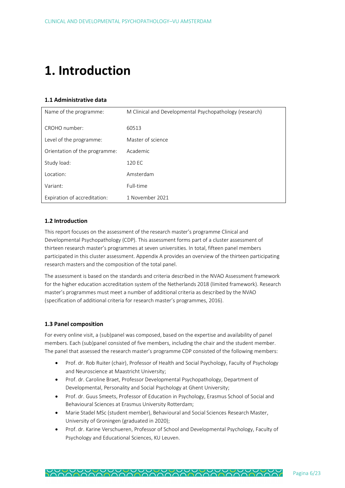## **1. Introduction**

#### **1.1 Administrative data**

| Name of the programme:        | M Clinical and Developmental Psychopathology (research) |
|-------------------------------|---------------------------------------------------------|
|                               |                                                         |
| CROHO number:                 | 60513                                                   |
| Level of the programme:       | Master of science                                       |
| Orientation of the programme: | Academic                                                |
| Study load:                   | 120 EC                                                  |
| Location:                     | Amsterdam                                               |
| Variant:                      | Full-time                                               |
| Expiration of accreditation:  | 1 November 2021                                         |

#### **1.2 Introduction**

This report focuses on the assessment of the research master's programme Clinical and Developmental Psychopathology (CDP). This assessment forms part of a cluster assessment of thirteen research master's programmes at seven universities. In total, fifteen panel members participated in this cluster assessment. Appendix A provides an overview of the thirteen participating research masters and the composition of the total panel.

The assessment is based on the standards and criteria described in the NVAO Assessment framework for the higher education accreditation system of the Netherlands 2018 (limited framework). Research master's programmes must meet a number of additional criteria as described by the NVAO (specification of additional criteria for research master's programmes, 2016).

#### **1.3 Panel composition**

For every online visit, a (sub)panel was composed, based on the expertise and availability of panel members. Each (sub)panel consisted of five members, including the chair and the student member. The panel that assessed the research master's programme CDP consisted of the following members:

- Prof. dr. Rob Ruiter (chair), Professor of Health and Social Psychology, Faculty of Psychology and Neuroscience at Maastricht University;
- Prof. dr. Caroline Braet, Professor Developmental Psychopathology, Department of Developmental, Personality and Social Psychology at Ghent University;
- Prof. dr. Guus Smeets, Professor of Education in Psychology, Erasmus School of Social and Behavioural Sciences at Erasmus University Rotterdam;
- Marie Stadel MSc (student member), Behavioural and Social Sciences Research Master, University of Groningen (graduated in 2020);
- Prof. dr. Karine Verschueren, Professor of School and Developmental Psychology, Faculty of Psychology and Educational Sciences, KU Leuven.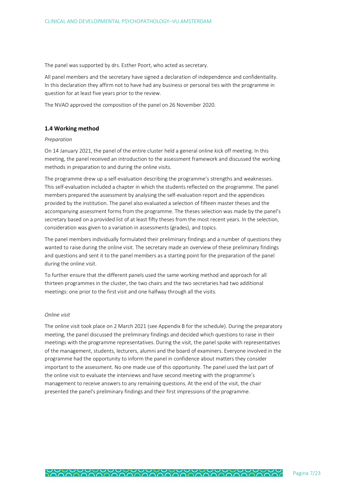The panel was supported by drs. Esther Poort, who acted as secretary.

All panel members and the secretary have signed a declaration of independence and confidentiality. In this declaration they affirm not to have had any business or personal ties with the programme in question for at least five years prior to the review.

The NVAO approved the composition of the panel on 26 November 2020.

#### **1.4 Working method**

#### *Preparation*

On 14 January 2021, the panel of the entire cluster held a general online kick off meeting. In this meeting, the panel received an introduction to the assessment framework and discussed the working methods in preparation to and during the online visits.

The programme drew up a self-evaluation describing the programme's strengths and weaknesses. This self-evaluation included a chapter in which the students reflected on the programme. The panel members prepared the assessment by analysing the self-evaluation report and the appendices provided by the institution. The panel also evaluated a selection of fifteen master theses and the accompanying assessment forms from the programme. The theses selection was made by the panel's secretary based on a provided list of at least fifty theses from the most recent years. In the selection, consideration was given to a variation in assessments (grades), and topics.

The panel members individually formulated their preliminary findings and a number of questions they wanted to raise during the online visit. The secretary made an overview of these preliminary findings and questions and sent it to the panel members as a starting point for the preparation of the panel during the online visit.

To further ensure that the different panels used the same working method and approach for all thirteen programmes in the cluster, the two chairs and the two secretaries had two additional meetings: one prior to the first visit and one halfway through all the visits.

#### *Online visit*

The online visit took place on 2 March 2021 (see Appendix B for the schedule). During the preparatory meeting, the panel discussed the preliminary findings and decided which questions to raise in their meetings with the programme representatives. During the visit, the panel spoke with representatives of the management, students, lecturers, alumni and the board of examiners. Everyone involved in the programme had the opportunity to inform the panel in confidence about matters they consider important to the assessment. No one made use of this opportunity. The panel used the last part of the online visit to evaluate the interviews and have second meeting with the programme's management to receive answers to any remaining questions. At the end of the visit, the chair presented the panel's preliminary findings and their first impressions of the programme.

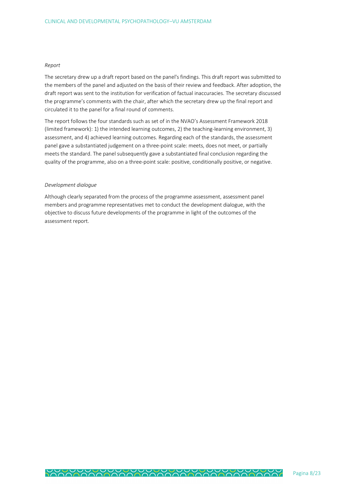#### *Report*

The secretary drew up a draft report based on the panel's findings. This draft report was submitted to the members of the panel and adjusted on the basis of their review and feedback. After adoption, the draft report was sent to the institution for verification of factual inaccuracies. The secretary discussed the programme's comments with the chair, after which the secretary drew up the final report and circulated it to the panel for a final round of comments.

The report follows the four standards such as set of in the NVAO's Assessment Framework 2018 (limited framework): 1) the intended learning outcomes, 2) the teaching-learning environment, 3) assessment, and 4) achieved learning outcomes. Regarding each of the standards, the assessment panel gave a substantiated judgement on a three-point scale: meets, does not meet, or partially meets the standard. The panel subsequently gave a substantiated final conclusion regarding the quality of the programme, also on a three-point scale: positive, conditionally positive, or negative.

#### *Development dialogue*

Although clearly separated from the process of the programme assessment, assessment panel members and programme representatives met to conduct the development dialogue, with the objective to discuss future developments of the programme in light of the outcomes of the assessment report.

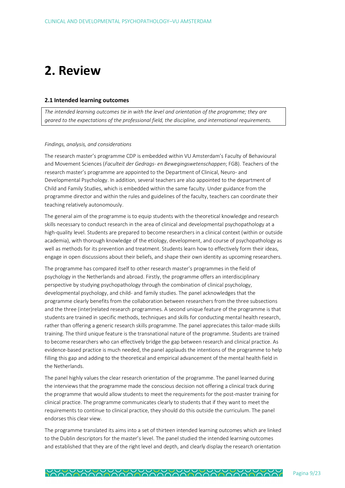### **2. Review**

#### **2.1 Intended learning outcomes**

*The intended learning outcomes tie in with the level and orientation of the programme; they are geared to the expectations of the professional field, the discipline, and international requirements.*

#### *Findings, analysis, and considerations*

The research master's programme CDP is embedded within VU Amsterdam's Faculty of Behavioural and Movement Sciences (*Faculteit der Gedrags- en Bewegingswetenschappen*; FGB). Teachers of the research master's programme are appointed to the Department of Clinical, Neuro- and Developmental Psychology. In addition, several teachers are also appointed to the department of Child and Family Studies, which is embedded within the same faculty. Under guidance from the programme director and within the rules and guidelines of the faculty, teachers can coordinate their teaching relatively autonomously.

The general aim of the programme is to equip students with the theoretical knowledge and research skills necessary to conduct research in the area of clinical and developmental psychopathology at a high-quality level. Students are prepared to become researchers in a clinical context (within or outside academia), with thorough knowledge of the etiology, development, and course of psychopathology as well as methods for its prevention and treatment. Students learn how to effectively form their ideas, engage in open discussions about their beliefs, and shape their own identity as upcoming researchers.

The programme has compared itself to other research master's programmes in the field of psychology in the Netherlands and abroad. Firstly, the programme offers an interdisciplinary perspective by studying psychopathology through the combination of clinical psychology, developmental psychology, and child- and family studies. The panel acknowledges that the programme clearly benefits from the collaboration between researchers from the three subsections and the three (inter)related research programmes. A second unique feature of the programme is that students are trained in specific methods, techniques and skills for conducting mental health research, rather than offering a generic research skills programme. The panel appreciates this tailor-made skills training. The third unique feature is the transnational nature of the programme. Students are trained to become researchers who can effectively bridge the gap between research and clinical practice. As evidence-based practice is much needed, the panel applauds the intentions of the programme to help filling this gap and adding to the theoretical and empirical advancement of the mental health field in the Netherlands.

The panel highly values the clear research orientation of the programme. The panel learned during the interviews that the programme made the conscious decision not offering a clinical track during the programme that would allow students to meet the requirements for the post-master training for clinical practice. The programme communicates clearly to students that if they want to meet the requirements to continue to clinical practice, they should do this outside the curriculum. The panel endorses this clear view.

The programme translated its aims into a set of thirteen intended learning outcomes which are linked to the Dublin descriptors for the master's level. The panel studied the intended learning outcomes and established that they are of the right level and depth, and clearly display the research orientation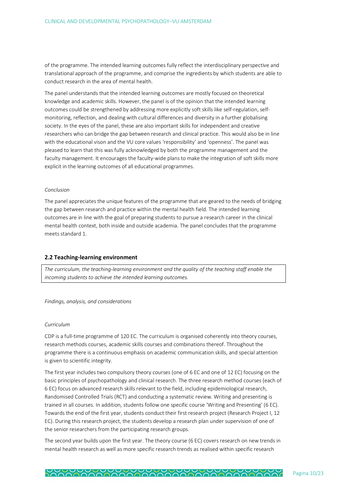of the programme. The intended learning outcomes fully reflect the interdisciplinary perspective and translational approach of the programme, and comprise the ingredients by which students are able to conduct research in the area of mental health.

The panel understands that the intended learning outcomes are mostly focused on theoretical knowledge and academic skills. However, the panel is of the opinion that the intended learning outcomes could be strengthened by addressing more explicitly soft skills like self-regulation, selfmonitoring, reflection, and dealing with cultural differences and diversity in a further globalising society. In the eyes of the panel, these are also important skills for independent and creative researchers who can bridge the gap between research and clinical practice. This would also be in line with the educational vison and the VU core values 'responsibility' and 'openness'. The panel was pleased to learn that this was fully acknowledged by both the programme management and the faculty management. It encourages the faculty-wide plans to make the integration of soft skills more explicit in the learning outcomes of all educational programmes.

#### *Conclusion*

The panel appreciates the unique features of the programme that are geared to the needs of bridging the gap between research and practice within the mental health field. The intended learning outcomes are in line with the goal of preparing students to pursue a research career in the clinical mental health context, both inside and outside academia. The panel concludes that the programme meets standard 1.

#### **2.2 Teaching-learning environment**

*The curriculum, the teaching-learning environment and the quality of the teaching staff enable the incoming students to achieve the intended learning outcomes.*

*Findings, analysis, and considerations*

#### *Curriculum*

CDP is a full-time programme of 120 EC. The curriculum is organised coherently into theory courses, research methods courses, academic skills courses and combinations thereof. Throughout the programme there is a continuous emphasis on academic communication skills, and special attention is given to scientific integrity.

The first year includes two compulsory theory courses (one of 6 EC and one of 12 EC) focusing on the basic principles of psychopathology and clinical research. The three research method courses (each of 6 EC) focus on advanced research skills relevant to the field, including epidemiological research, Randomised Controlled Trials (RCT) and conducting a systematic review. Writing and presenting is trained in all courses. In addition, students follow one specific course 'Writing and Presenting' (6 EC). Towards the end of the first year, students conduct their first research project (Research Project I, 12 EC). During this research project, the students develop a research plan under supervision of one of the senior researchers from the participating research groups.

The second year builds upon the first year. The theory course (6 EC) covers research on new trends in mental health research as well as more specific research trends as realised within specific research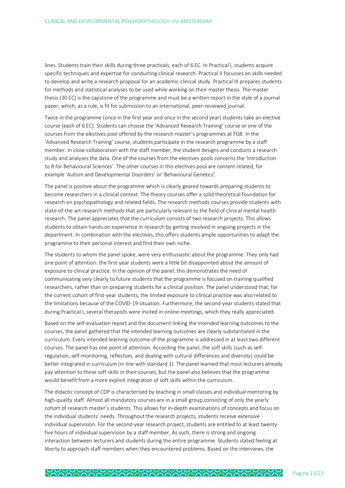lines. Students train their skills during three practicals, each of 6 EC. In Practical I, students acquire specific techniques and expertise for conducting clinical research. Practical II focusses on skills needed to develop and write a research proposal for an academic-clinical study. Practical III prepares students for methods and statistical analyses to be used while working on their master thesis. The master thesis (30 EC) is the capstone of the programme and must be a written report in the style of a journal paper, which, as a rule, is fit for submission to an international, peer-reviewed journal.

Twice in the programme (once in the first year and once in the second year) students take an elective course (each of 6 EC). Students can choose the 'Advanced Research Training' course or one of the courses from the electives pool offered by the research master's programmes at FGB. In the 'Advanced Research Training' course, students participate in the research programme by a staff member. In close collaboration with the staff member, the student designs and conducts a research study and analyses the data. One of the courses from the electives pools concerns the 'Introduction to R for Behavioural Sciences'. The other courses in this electives pool are content related, for example 'Autism and Developmental Disorders' or 'Behavioural Genetics'.

The panel is positive about the programme which is clearly geared towards preparing students to become researchers in a clinical context. The theory courses offer a solid theoretical foundation for research on psychopathology and related fields. The research methods courses provide students with state-of-the-art research methods that are particularly relevant to the field of clinical mental health research. The panel appreciates that the curriculum consists of two research projects. This allows students to obtain hands-on experience in research by getting involved in ongoing projects in the department. In combination with the electives, this offers students ample opportunities to adapt the programme to their personal interest and find their own niche.

The students to whom the panel spoke, were very enthusiastic about the programme. They only had one point of attention: the first-year students were a little bit disappointed about the amount of exposure to clinical practice. In the opinion of the panel, this demonstrates the need of communicating very clearly to future students that the programme is focused on training qualified researchers, rather than on preparing students for a clinical position. The panel understood that, for the current cohort of first-year students, the limited exposure to clinical practice was also related to the limitations because of the COVID-19 situation. Furthermore, the second-year students stated that during Practical I, several therapists were invited in online-meetings, which they really appreciated.

Based on the self-evaluation report and the document linking the intended learning outcomes to the courses, the panel gathered that the intended learning outcomes are clearly substantiated in the curriculum. Every intended learning outcome of the programme is addressed in at least two different courses. The panel has one point of attention. According the panel, the soft skills (such as selfregulation, self-monitoring, reflection, and dealing with cultural differences and diversity) could be better integrated in curriculum (in line with standard 1). The panel learned that most lecturers already pay attention to these soft skills in their courses, but the panel also believes that the programme would benefit from a more explicit integration of soft skills within the curriculum.

The didactic concept of CDP is characterised by teaching in small classes and individual mentoring by high-quality staff. Almost all mandatory courses are in a small group consisting of only the yearly cohort of research master's students. This allows for in-depth examinations of concepts and focus on the individual students' needs. Throughout the research projects, students receive extensive individual supervision. For the second-year research project, students are entitled to at least twentyfive hours of individual supervision by a staff member. As such, there is strong and ongoing interaction between lecturers and students during the entire programme. Students stated feeling at liberty to approach staff members when they encountered problems. Based on the interviews, the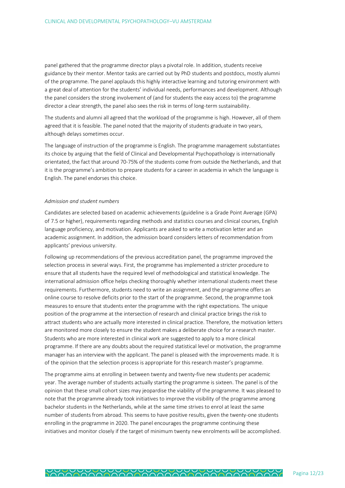panel gathered that the programme director plays a pivotal role. In addition, students receive guidance by their mentor. Mentor tasks are carried out by PhD students and postdocs, mostly alumni of the programme. The panel applauds this highly interactive learning and tutoring environment with a great deal of attention for the students' individual needs, performances and development. Although the panel considers the strong involvement of (and for students the easy access to) the programme director a clear strength, the panel also sees the risk in terms of long-term sustainability.

The students and alumni all agreed that the workload of the programme is high. However, all of them agreed that it is feasible. The panel noted that the majority of students graduate in two years, although delays sometimes occur.

The language of instruction of the programme is English. The programme management substantiates its choice by arguing that the field of Clinical and Developmental Psychopathology is internationally orientated, the fact that around 70-75% of the students come from outside the Netherlands, and that it is the programme's ambition to prepare students for a career in academia in which the language is English. The panel endorses this choice.

#### *Admission and student numbers*

Candidates are selected based on academic achievements (guideline is a Grade Point Average (GPA) of 7.5 or higher), requirements regarding methods and statistics courses and clinical courses, English language proficiency, and motivation. Applicants are asked to write a motivation letter and an academic assignment. In addition, the admission board considers letters of recommendation from applicants' previous university.

Following up recommendations of the previous accreditation panel, the programme improved the selection process in several ways. First, the programme has implemented a stricter procedure to ensure that all students have the required level of methodological and statistical knowledge. The international admission office helps checking thoroughly whether international students meet these requirements. Furthermore, students need to write an assignment, and the programme offers an online course to resolve deficits prior to the start of the programme. Second, the programme took measures to ensure that students enter the programme with the right expectations. The unique position of the programme at the intersection of research and clinical practice brings the risk to attract students who are actually more interested in clinical practice. Therefore, the motivation letters are monitored more closely to ensure the student makes a deliberate choice for a research master. Students who are more interested in clinical work are suggested to apply to a more clinical programme. If there are any doubts about the required statistical level or motivation, the programme manager has an interview with the applicant. The panel is pleased with the improvements made. It is of the opinion that the selection process is appropriate for this research master's programme.

The programme aims at enrolling in between twenty and twenty-five new students per academic year. The average number of students actually starting the programme is sixteen. The panel is of the opinion that these small cohort sizes may jeopardise the viability of the programme. It was pleased to note that the programme already took initiatives to improve the visibility of the programme among bachelor students in the Netherlands, while at the same time strives to enrol at least the same number of students from abroad. This seems to have positive results, given the twenty-one students enrolling in the programme in 2020. The panel encourages the programme continuing these initiatives and monitor closely if the target of minimum twenty new enrolments will be accomplished.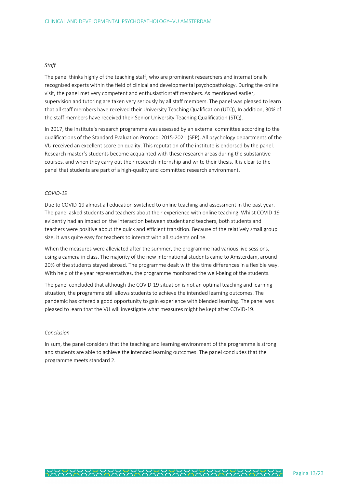#### *Staff*

The panel thinks highly of the teaching staff, who are prominent researchers and internationally recognised experts within the field of clinical and developmental psychopathology. During the online visit, the panel met very competent and enthusiastic staff members. As mentioned earlier, supervision and tutoring are taken very seriously by all staff members. The panel was pleased to learn that all staff members have received their University Teaching Qualification (UTQ), In addition, 30% of the staff members have received their Senior University Teaching Qualification (STQ).

In 2017, the Institute's research programme was assessed by an external committee according to the qualifications of the Standard Evaluation Protocol 2015-2021 (SEP). All psychology departments of the VU received an excellent score on quality. This reputation of the institute is endorsed by the panel. Research master's students become acquainted with these research areas during the substantive courses, and when they carry out their research internship and write their thesis. It is clear to the panel that students are part of a high-quality and committed research environment.

#### *COVID-19*

Due to COVID-19 almost all education switched to online teaching and assessment in the past year. The panel asked students and teachers about their experience with online teaching. Whilst COVID-19 evidently had an impact on the interaction between student and teachers, both students and teachers were positive about the quick and efficient transition. Because of the relatively small group size, it was quite easy for teachers to interact with all students online.

When the measures were alleviated after the summer, the programme had various live sessions, using a camera in class. The majority of the new international students came to Amsterdam, around 20% of the students stayed abroad. The programme dealt with the time differences in a flexible way. With help of the year representatives, the programme monitored the well-being of the students.

The panel concluded that although the COVID-19 situation is not an optimal teaching and learning situation, the programme still allows students to achieve the intended learning outcomes. The pandemic has offered a good opportunity to gain experience with blended learning. The panel was pleased to learn that the VU will investigate what measures might be kept after COVID-19.

#### *Conclusion*

In sum, the panel considers that the teaching and learning environment of the programme is strong and students are able to achieve the intended learning outcomes. The panel concludes that the programme meets standard 2.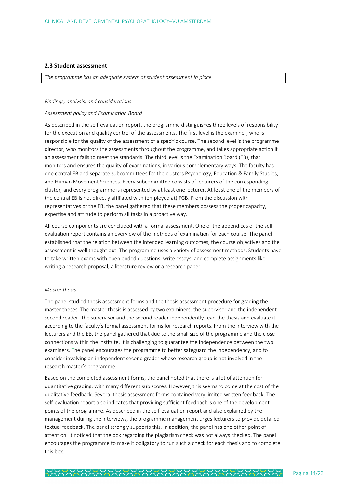#### **2.3 Student assessment**

*The programme has an adequate system of student assessment in place.*

#### *Findings, analysis, and considerations*

#### *Assessment policy and Examination Board*

As described in the self-evaluation report, the programme distinguishes three levels of responsibility for the execution and quality control of the assessments. The first level is the examiner, who is responsible for the quality of the assessment of a specific course. The second level is the programme director, who monitors the assessments throughout the programme, and takes appropriate action if an assessment fails to meet the standards. The third level is the Examination Board (EB), that monitors and ensures the quality of examinations, in various complementary ways. The faculty has one central EB and separate subcommittees for the clusters Psychology, Education & Family Studies, and Human Movement Sciences. Every subcommittee consists of lecturers of the corresponding cluster, and every programme is represented by at least one lecturer. At least one of the members of the central EB is not directly affiliated with (employed at) FGB. From the discussion with representatives of the EB, the panel gathered that these members possess the proper capacity, expertise and attitude to perform all tasks in a proactive way.

All course components are concluded with a formal assessment. One of the appendices of the selfevaluation report contains an overview of the methods of examination for each course. The panel established that the relation between the intended learning outcomes, the course objectives and the assessment is well thought out. The programme uses a variety of assessment methods. Students have to take written exams with open ended questions, write essays, and complete assignments like writing a research proposal, a literature review or a research paper.

#### *Master thesis*

The panel studied thesis assessment forms and the thesis assessment procedure for grading the master theses. The master thesis is assessed by two examiners: the supervisor and the independent second reader. The supervisor and the second reader independently read the thesis and evaluate it according to the faculty's formal assessment forms for research reports. From the interview with the lecturers and the EB, the panel gathered that due to the small size of the programme and the close connections within the institute, it is challenging to guarantee the independence between the two examiners. The panel encourages the programme to better safeguard the independency, and to consider involving an independent second grader whose research group is not involved in the research master's programme.

Based on the completed assessment forms, the panel noted that there is a lot of attention for quantitative grading, with many different sub scores. However, this seems to come at the cost of the qualitative feedback. Several thesis assessment forms contained very limited written feedback. The self-evaluation report also indicates that providing sufficient feedback is one of the development points of the programme. As described in the self-evaluation report and also explained by the management during the interviews, the programme management urges lecturers to provide detailed textual feedback. The panel strongly supports this. In addition, the panel has one other point of attention. It noticed that the box regarding the plagiarism check was not always checked. The panel encourages the programme to make it obligatory to run such a check for each thesis and to complete this box.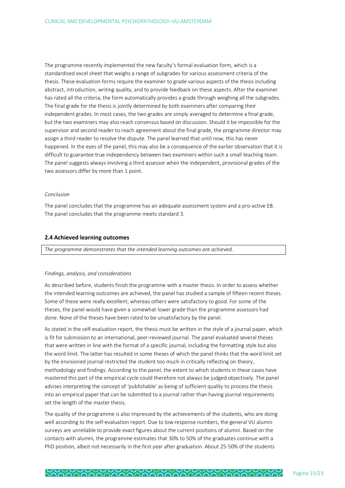The programme recently implemented the new faculty's formal evaluation form, which is a standardised excel sheet that weighs a range of subgrades for various assessment criteria of the thesis. These evaluation forms require the examiner to grade various aspects of the thesis including abstract, introduction, writing quality, and to provide feedback on these aspects. After the examiner has rated all the criteria, the form automatically provides a grade through weighing all the subgrades. The final grade for the thesis is jointly determined by both examiners after comparing their independent grades. In most cases, the two grades are simply averaged to determine a final grade, but the two examiners may also reach consensus based on discussion. Should it be impossible for the supervisor and second reader to reach agreement about the final grade, the programme director may assign a third reader to resolve the dispute. The panel learned that until now, this has never happened. In the eyes of the panel, this may also be a consequence of the earlier observation that it is difficult to guarantee true independency between two examiners within such a small teaching team. The panel suggests always involving a third assessor when the independent, provisional grades of the two assessors differ by more than 1 point.

#### *Conclusion*

The panel concludes that the programme has an adequate assessment system and a pro-active EB. The panel concludes that the programme meets standard 3.

#### **2.4 Achieved learning outcomes**

*The programme demonstrates that the intended learning outcomes are achieved.* 

#### *Findings, analysis, and considerations*

As described before, students finish the programme with a master thesis. In order to assess whether the intended learning outcomes are achieved, the panel has studied a sample of fifteen recent theses. Some of these were really excellent, whereas others were satisfactory to good. For some of the theses, the panel would have given a somewhat lower grade than the programme assessors had done. None of the theses have been rated to be unsatisfactory by the panel.

As stated in the self-evaluation report, the thesis must be written in the style of a journal paper, which is fit for submission to an international, peer-reviewed journal. The panel evaluated several theses that were written in line with the format of a specific journal, including the formatting style but also the word limit. The latter has resulted in some theses of which the panel thinks that the word limit set by the envisioned journal restricted the student too much in critically reflecting on theory, methodology and findings. According to the panel, the extent to which students in these cases have mastered this part of the empirical cycle could therefore not always be judged objectively. The panel advises interpreting the concept of 'publishable' as being of sufficient quality to process the thesis into an empirical paper that can be submitted to a journal rather than having journal requirements set the length of the master thesis.

The quality of the programme is also impressed by the achievements of the students, who are doing well according to the self-evaluation report. Due to low response numbers, the general VU alumni surveys are unreliable to provide exact figures about the current positions of alumni. Based on the contacts with alumni, the programme estimates that 30% to 50% of the graduates continue with a PhD position, albeit not necessarily in the first year after graduation. About 25-50% of the students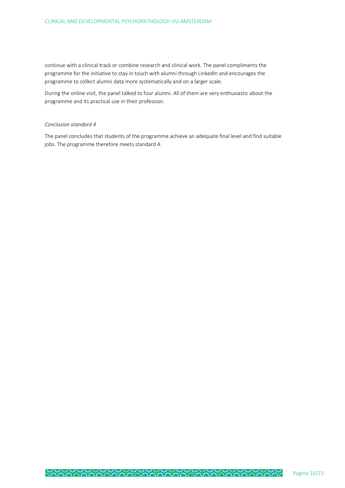continue with a clinical track or combine research and clinical work. The panel compliments the programme for the initiative to stay in touch with alumni through LinkedIn and encourages the programme to collect alumni data more systematically and on a larger scale.

During the online visit, the panel talked to four alumni. All of them are very enthusiastic about the programme and its practical use in their profession.

#### *Conclusion standard 4*

The panel concludes that students of the programme achieve an adequate final level and find suitable jobs. The programme therefore meets standard 4.

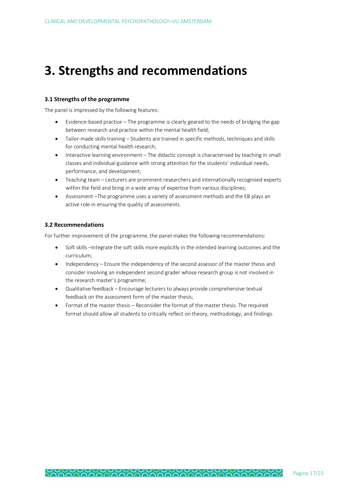### **3. Strengths and recommendations**

#### **3.1 Strengths of the programme**

The panel is impressed by the following features:

- Evidence-based practice The programme is clearly geared to the needs of bridging the gap between research and practice within the mental health field;
- Tailor-made skills training Students are trained in specific methods, techniques and skills for conducting mental health research;
- Interactive learning environment The didactic concept is characterised by teaching in small classes and individual guidance with strong attention for the students' individual needs, performance, and development;
- Teaching team Lecturers are prominent researchers and internationally recognised experts within the field and bring in a wide array of expertise from various disciplines;
- Assessment –The programme uses a variety of assessment methods and the EB plays an active role in ensuring the quality of assessments.

#### **3.2 Recommendations**

For further improvement of the programme, the panel makes the following recommendations:

- Soft skills –Integrate the soft skills more explicitly in the intended learning outcomes and the curriculum;
- Independency Ensure the independency of the second assessor of the master thesis and consider involving an independent second grader whose research group is not involved in the research master's programme;
- Qualitative feedback Encourage lecturers to always provide comprehensive textual feedback on the assessment form of the master thesis;
- Format of the master thesis Reconsider the format of the master thesis. The required format should allow all students to critically reflect on theory, methodology, and findings.

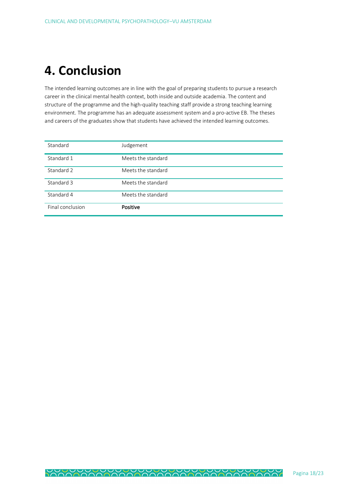## **4. Conclusion**

The intended learning outcomes are in line with the goal of preparing students to pursue a research career in the clinical mental health context, both inside and outside academia. The content and structure of the programme and the high-quality teaching staff provide a strong teaching learning environment. The programme has an adequate assessment system and a pro-active EB. The theses and careers of the graduates show that students have achieved the intended learning outcomes.

| Standard         | Judgement          |
|------------------|--------------------|
| Standard 1       | Meets the standard |
| Standard 2       | Meets the standard |
| Standard 3       | Meets the standard |
| Standard 4       | Meets the standard |
| Final conclusion | Positive           |

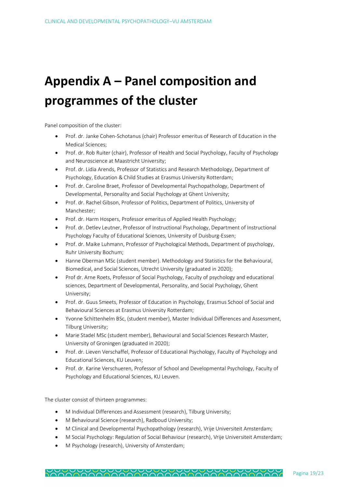# **Appendix A – Panel composition and programmes of the cluster**

Panel composition of the cluster:

- Prof. dr. Janke Cohen-Schotanus (chair) Professor emeritus of Research of Education in the Medical Sciences;
- Prof. dr. Rob Ruiter (chair), Professor of Health and Social Psychology, Faculty of Psychology and Neuroscience at Maastricht University;
- Prof. dr. Lidia Arends, Professor of Statistics and Research Methodology, Department of Psychology, Education & Child Studies at Erasmus University Rotterdam;
- Prof. dr. Caroline Braet, Professor of Developmental Psychopathology, Department of Developmental, Personality and Social Psychology at Ghent University;
- Prof. dr. Rachel Gibson, Professor of Politics, Department of Politics, University of Manchester;
- Prof. dr. Harm Hospers, Professor emeritus of Applied Health Psychology;
- Prof. dr. Detlev Leutner, Professor of Instructional Psychology, Department of Instructional Psychology Faculty of Educational Sciences, University of Duisburg-Essen;
- Prof. dr. Maike Luhmann, Professor of Psychological Methods, Department of psychology, Ruhr University Bochum;
- Hanne Oberman MSc (student member). Methodology and Statistics for the Behavioural, Biomedical, and Social Sciences, Utrecht University (graduated in 2020);
- Prof dr. Arne Roets, Professor of Social Psychology, Faculty of psychology and educational sciences, Department of Developmental, Personality, and Social Psychology, Ghent University;
- Prof. dr. Guus Smeets, Professor of Education in Psychology, Erasmus School of Social and Behavioural Sciences at Erasmus University Rotterdam;
- Yvonne Schittenhelm BSc, (student member), Master Individual Differences and Assessment, Tilburg University;
- Marie Stadel MSc (student member), Behavioural and Social Sciences Research Master, University of Groningen (graduated in 2020);
- Prof. dr. Lieven Verschaffel, Professor of Educational Psychology, Faculty of Psychology and Educational Sciences, KU Leuven;
- Prof. dr. Karine Verschueren, Professor of School and Developmental Psychology, Faculty of Psychology and Educational Sciences, KU Leuven.

The cluster consist of thirteen programmes:

- M Individual Differences and Assessment (research), Tilburg University;
- M Behavioural Science (research), Radboud University;
- M Clinical and Developmental Psychopathology (research), Vrije Universiteit Amsterdam;
- M Social Psychology: Regulation of Social Behaviour (research), Vrije Universiteit Amsterdam;
- M Psychology (research), University of Amsterdam;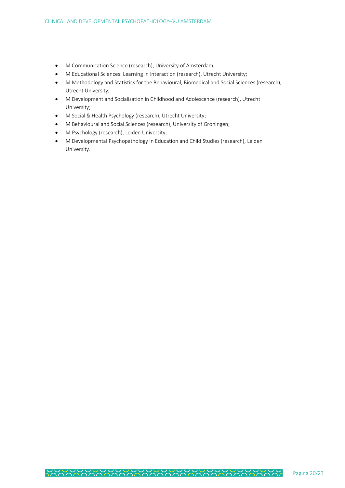- M Communication Science (research), University of Amsterdam;
- M Educational Sciences: Learning in Interaction (research), Utrecht University;
- M Methodology and Statistics for the Behavioural, Biomedical and Social Sciences (research), Utrecht University;
- M Development and Socialisation in Childhood and Adolescence (research), Utrecht University;
- M Social & Health Psychology (research), Utrecht University;
- M Behavioural and Social Sciences (research), University of Groningen;
- M Psychology (research), Leiden University;
- M Developmental Psychopathology in Education and Child Studies (research), Leiden University.

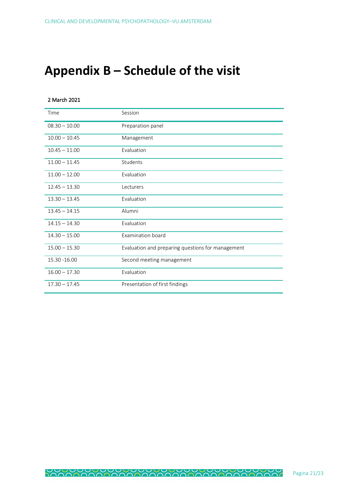### **Appendix B – Schedule of the visit**

#### 2 March 2021

| Time            | Session                                           |
|-----------------|---------------------------------------------------|
| $08.30 - 10.00$ | Preparation panel                                 |
| $10.00 - 10.45$ | Management                                        |
| $10.45 - 11.00$ | Evaluation                                        |
| $11.00 - 11.45$ | Students                                          |
| $11.00 - 12.00$ | Evaluation                                        |
| $12.45 - 13.30$ | Lecturers                                         |
| $13.30 - 13.45$ | Evaluation                                        |
| $13.45 - 14.15$ | Alumni                                            |
| $14.15 - 14.30$ | Evaluation                                        |
| $14.30 - 15.00$ | Examination board                                 |
| $15.00 - 15.30$ | Evaluation and preparing questions for management |
| 15.30 - 16.00   | Second meeting management                         |
| $16.00 - 17.30$ | Evaluation                                        |
| $17.30 - 17.45$ | Presentation of first findings                    |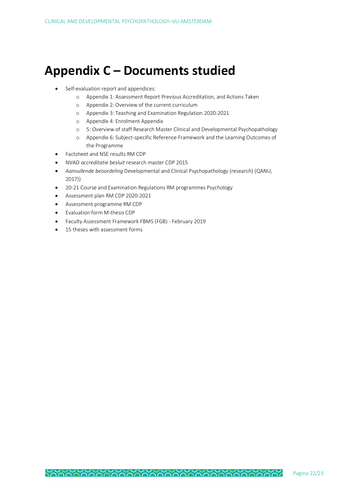### **Appendix C – Documents studied**

- Self-evaluation report and appendices:
	- o Appendix 1: Assessment Report Previous Accreditation, and Actions Taken
	- o Appendix 2: Overview of the current curriculum
	- o Appendix 3: Teaching and Examination Regulation 2020-2021
	- o Appendix 4: Enrolment Appendix
	- o 5: Overview of staff Research Master Clinical and Developmental Psychopathology
	- o Appendix 6: Subject-specific Reference Framework and the Learning Outcomes of the Programme
- Factsheet and NSE results RM CDP
- NVAO *accreditatie besluit* research master CDP 2015
- *Aanvullende beoordeling* Developmental and Clinical Psychopathology (research) (QANU, 2017))
- 20-21 Course and Examination Regulations RM programmes Psychology
- Assessment plan RM CDP 2020-2021
- Assessment programme RM CDP
- Evaluation form M-thesis CDP
- Faculty Assessment Framework FBMS (FGB) February 2019
- 15 theses with assessment forms